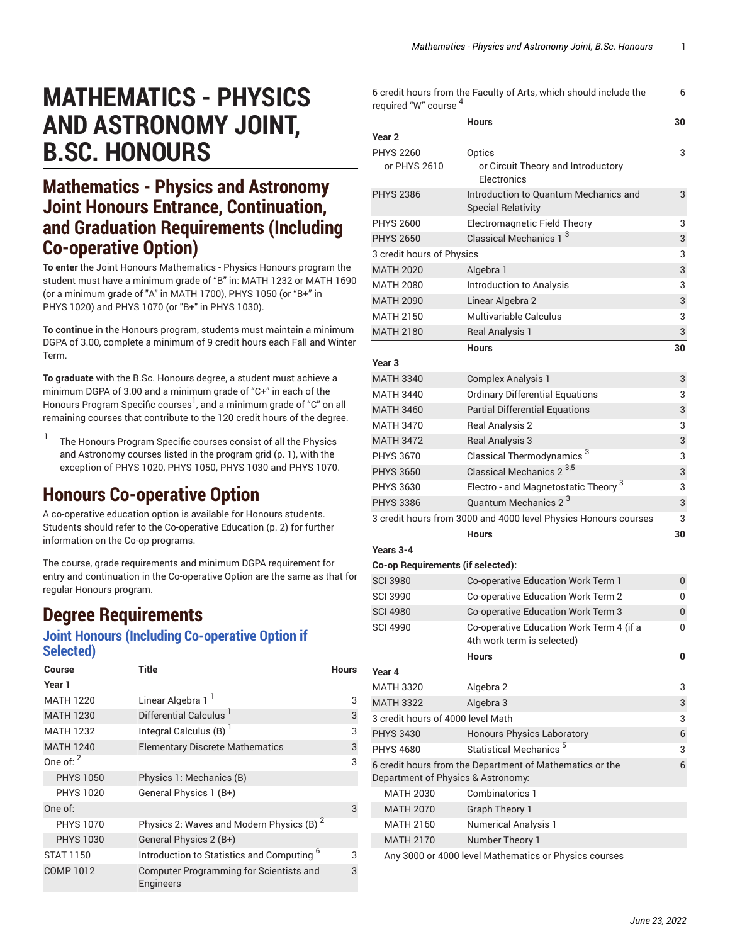6

6 credit hours from the Faculty of Arts, which should include the

# **MATHEMATICS - PHYSICS AND ASTRONOMY JOINT, B.SC. HONOURS**

## **Mathematics - Physics and Astronomy Joint Honours Entrance, Continuation, and Graduation Requirements (Including Co-operative Option)**

**To enter** the Joint Honours Mathematics - Physics Honours program the student must have a minimum grade of "B" in: MATH 1232 or MATH 1690 (or a minimum grade of "A" in MATH 1700), PHYS 1050 (or "B+" in PHYS 1020) and PHYS 1070 (or "B+" in PHYS 1030).

**To continue** in the Honours program, students must maintain a minimum DGPA of 3.00, complete a minimum of 9 credit hours each Fall and Winter Term.

**To graduate** with the B.Sc. Honours degree, a student must achieve a minimum DGPA of 3.00 and a minimum grade of "C+" in each of the Honours Program Specific courses<sup>1</sup>, and a minimum grade of "C" on all remaining courses that contribute to the 120 credit hours of the degree.

1 The Honours Program Specific courses consist of all the Physics and Astronomy courses listed in the [program](#page-0-0) grid [\(p. 1](#page-0-0)), with the exception of PHYS 1020, PHYS 1050, PHYS 1030 and PHYS 1070.

## **Honours Co-operative Option**

A co-operative education option is available for Honours students. Students should refer to the [Co-operative](#page-1-0) Education [\(p. 2](#page-1-0)) for further information on the Co-op programs.

The course, grade requirements and minimum DGPA requirement for entry and continuation in the Co-operative Option are the same as that for regular Honours program.

## <span id="page-0-0"></span>**Degree Requirements**

### **Joint Honours (Including Co-operative Option if Selected)**

| Course           | Title                                                       | <b>Hours</b> |
|------------------|-------------------------------------------------------------|--------------|
| Year 1           |                                                             |              |
| <b>MATH 1220</b> | Linear Algebra 1 <sup>1</sup>                               | 3            |
| <b>MATH 1230</b> | Differential Calculus <sup>1</sup>                          | 3            |
| <b>MATH 1232</b> | Integral Calculus (B) <sup>1</sup>                          | 3            |
| <b>MATH 1240</b> | <b>Elementary Discrete Mathematics</b>                      | 3            |
| One of: $2$      |                                                             | 3            |
| <b>PHYS 1050</b> | Physics 1: Mechanics (B)                                    |              |
| <b>PHYS 1020</b> | General Physics 1 (B+)                                      |              |
| One of:          |                                                             | 3            |
| <b>PHYS 1070</b> | Physics 2: Waves and Modern Physics (B) <sup>2</sup>        |              |
| <b>PHYS 1030</b> | General Physics 2 (B+)                                      |              |
| <b>STAT 1150</b> | Introduction to Statistics and Computing <sup>6</sup>       | 3            |
| <b>COMP 1012</b> | <b>Computer Programming for Scientists and</b><br>Engineers | 3            |

| required "W" course <sup>4</sup>   |                                                                 |    |  |
|------------------------------------|-----------------------------------------------------------------|----|--|
|                                    | <b>Hours</b>                                                    | 30 |  |
| Year <sub>2</sub>                  |                                                                 |    |  |
| <b>PHYS 2260</b>                   | Optics                                                          | 3  |  |
| or PHYS 2610                       | or Circuit Theory and Introductory                              |    |  |
|                                    | Electronics                                                     |    |  |
| <b>PHYS 2386</b>                   | Introduction to Quantum Mechanics and                           | 3  |  |
|                                    | <b>Special Relativity</b>                                       |    |  |
| <b>PHYS 2600</b>                   | Electromagnetic Field Theory                                    | 3  |  |
| <b>PHYS 2650</b>                   | Classical Mechanics 1 <sup>3</sup>                              | 3  |  |
| 3 credit hours of Physics          |                                                                 | 3  |  |
| <b>MATH 2020</b>                   | Algebra 1                                                       | 3  |  |
| <b>MATH 2080</b>                   | Introduction to Analysis                                        | 3  |  |
| <b>MATH 2090</b>                   | Linear Algebra 2                                                | 3  |  |
| <b>MATH 2150</b>                   | Multivariable Calculus                                          | 3  |  |
| <b>MATH 2180</b>                   | <b>Real Analysis 1</b>                                          | 3  |  |
|                                    | <b>Hours</b>                                                    | 30 |  |
| Year <sub>3</sub>                  |                                                                 |    |  |
| <b>MATH 3340</b>                   | <b>Complex Analysis 1</b>                                       | 3  |  |
| <b>MATH 3440</b>                   | <b>Ordinary Differential Equations</b>                          | 3  |  |
| <b>MATH 3460</b>                   | <b>Partial Differential Equations</b>                           | 3  |  |
| <b>MATH 3470</b>                   | Real Analysis 2                                                 | 3  |  |
| <b>MATH 3472</b>                   | <b>Real Analysis 3</b>                                          | 3  |  |
| <b>PHYS 3670</b>                   | Classical Thermodynamics <sup>3</sup>                           | 3  |  |
| <b>PHYS 3650</b>                   | Classical Mechanics 2 <sup>3,5</sup>                            | 3  |  |
| <b>PHYS 3630</b>                   | Electro - and Magnetostatic Theory <sup>3</sup>                 | 3  |  |
| <b>PHYS 3386</b>                   | Quantum Mechanics 2 <sup>3</sup>                                | 3  |  |
|                                    | 3 credit hours from 3000 and 4000 level Physics Honours courses | 3  |  |
|                                    | <b>Hours</b>                                                    | 30 |  |
| Years 3-4                          |                                                                 |    |  |
| Co-op Requirements (if selected):  |                                                                 |    |  |
| <b>SCI 3980</b>                    | Co-operative Education Work Term 1                              | 0  |  |
| <b>SCI 3990</b>                    | Co-operative Education Work Term 2                              | 0  |  |
| <b>SCI 4980</b>                    | Co-operative Education Work Term 3                              | 0  |  |
| <b>SCI 4990</b>                    | Co-operative Education Work Term 4 (if a                        | 0  |  |
|                                    | 4th work term is selected)                                      |    |  |
|                                    | <b>Hours</b>                                                    | 0  |  |
| Year 4                             |                                                                 |    |  |
| <b>MATH 3320</b>                   | Algebra 2                                                       | 3  |  |
| <b>MATH 3322</b>                   | Algebra 3                                                       | 3  |  |
| 3 credit hours of 4000 level Math  |                                                                 | 3  |  |
| <b>PHYS 3430</b>                   | Honours Physics Laboratory                                      | 6  |  |
| <b>PHYS 4680</b>                   | Statistical Mechanics <sup>5</sup>                              | 3  |  |
|                                    | 6 credit hours from the Department of Mathematics or the        | 6  |  |
| Department of Physics & Astronomy: |                                                                 |    |  |
| <b>MATH 2030</b>                   | Combinatorics 1                                                 |    |  |
| <b>MATH 2070</b>                   | <b>Graph Theory 1</b>                                           |    |  |
| <b>MATH 2160</b>                   | <b>Numerical Analysis 1</b>                                     |    |  |
| <b>MATH 2170</b>                   | Number Theory 1                                                 |    |  |
|                                    | Any 3000 or 4000 level Mathematics or Physics courses           |    |  |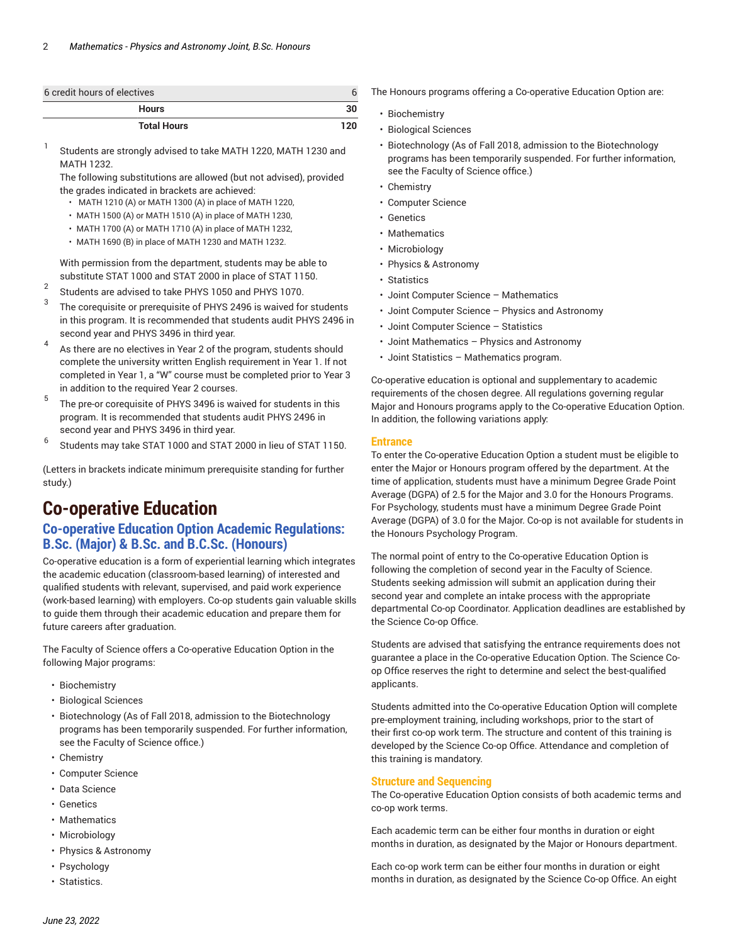| 6 credit hours of electives |     |
|-----------------------------|-----|
| <b>Hours</b>                |     |
| <b>Total Hours</b>          | 100 |

1 Students are strongly advised to take MATH 1220, MATH 1230 and MATH 1232.

The following substitutions are allowed (but not advised), provided the grades indicated in brackets are achieved:

- MATH 1210 (A) or MATH 1300 (A) in place of MATH 1220,
- MATH 1500 (A) or MATH 1510 (A) in place of MATH 1230,
- MATH 1700 (A) or MATH 1710 (A) in place of MATH 1232,
- MATH 1690 (B) in place of MATH 1230 and MATH 1232.

With permission from the department, students may be able to substitute STAT 1000 and STAT 2000 in place of STAT 1150.

- 2 Students are advised to take PHYS 1050 and PHYS 1070.
- 3 The corequisite or prerequisite of PHYS 2496 is waived for students in this program. It is recommended that students audit PHYS 2496 in second year and PHYS 3496 in third year.
- 4 As there are no electives in Year 2 of the program, students should complete the university written English requirement in Year 1. If not completed in Year 1, a "W" course must be completed prior to Year 3 in addition to the required Year 2 courses.
- 5 The pre-or corequisite of PHYS 3496 is waived for students in this program. It is recommended that students audit PHYS 2496 in second year and PHYS 3496 in third year.
- 6 Students may take STAT 1000 and STAT 2000 in lieu of STAT 1150.

(Letters in brackets indicate minimum prerequisite standing for further study.)

## <span id="page-1-0"></span>**Co-operative Education**

### **Co-operative Education Option Academic Regulations: B.Sc. (Major) & B.Sc. and B.C.Sc. (Honours)**

Co-operative education is a form of experiential learning which integrates the academic education (classroom-based learning) of interested and qualified students with relevant, supervised, and paid work experience (work-based learning) with employers. Co-op students gain valuable skills to guide them through their academic education and prepare them for future careers after graduation.

The Faculty of Science offers a Co-operative Education Option in the following Major programs:

- Biochemistry
- Biological Sciences
- Biotechnology (As of Fall 2018, admission to the Biotechnology programs has been temporarily suspended. For further information, see the Faculty of Science office.)
- Chemistry
- Computer Science
- Data Science
- Genetics
- Mathematics
- Microbiology
- Physics & Astronomy
- Psychology
- Statistics.
- The Honours programs offering a Co-operative Education Option are:
	- Biochemistry
	- Biological Sciences
	- Biotechnology (As of Fall 2018, admission to the Biotechnology programs has been temporarily suspended. For further information, see the Faculty of Science office.)
	- Chemistry
	- Computer Science
	- Genetics
	- Mathematics
	- Microbiology
	- Physics & Astronomy
	- Statistics
	- Joint Computer Science Mathematics
	- Joint Computer Science Physics and Astronomy
	- Joint Computer Science Statistics
	- Joint Mathematics Physics and Astronomy
	- Joint Statistics Mathematics program.

Co-operative education is optional and supplementary to academic requirements of the chosen degree. All regulations governing regular Major and Honours programs apply to the Co-operative Education Option. In addition, the following variations apply:

### **Entrance**

To enter the Co-operative Education Option a student must be eligible to enter the Major or Honours program offered by the department. At the time of application, students must have a minimum Degree Grade Point Average (DGPA) of 2.5 for the Major and 3.0 for the Honours Programs. For Psychology, students must have a minimum Degree Grade Point Average (DGPA) of 3.0 for the Major. Co-op is not available for students in the Honours Psychology Program.

The normal point of entry to the Co-operative Education Option is following the completion of second year in the Faculty of Science. Students seeking admission will submit an application during their second year and complete an intake process with the appropriate departmental Co-op Coordinator. Application deadlines are established by the Science Co-op Office.

Students are advised that satisfying the entrance requirements does not guarantee a place in the Co-operative Education Option. The Science Coop Office reserves the right to determine and select the best-qualified applicants.

Students admitted into the Co-operative Education Option will complete pre-employment training, including workshops, prior to the start of their first co-op work term. The structure and content of this training is developed by the Science Co-op Office. Attendance and completion of this training is mandatory.

### **Structure and Sequencing**

The Co-operative Education Option consists of both academic terms and co-op work terms.

Each academic term can be either four months in duration or eight months in duration, as designated by the Major or Honours department.

Each co-op work term can be either four months in duration or eight months in duration, as designated by the Science Co-op Office. An eight